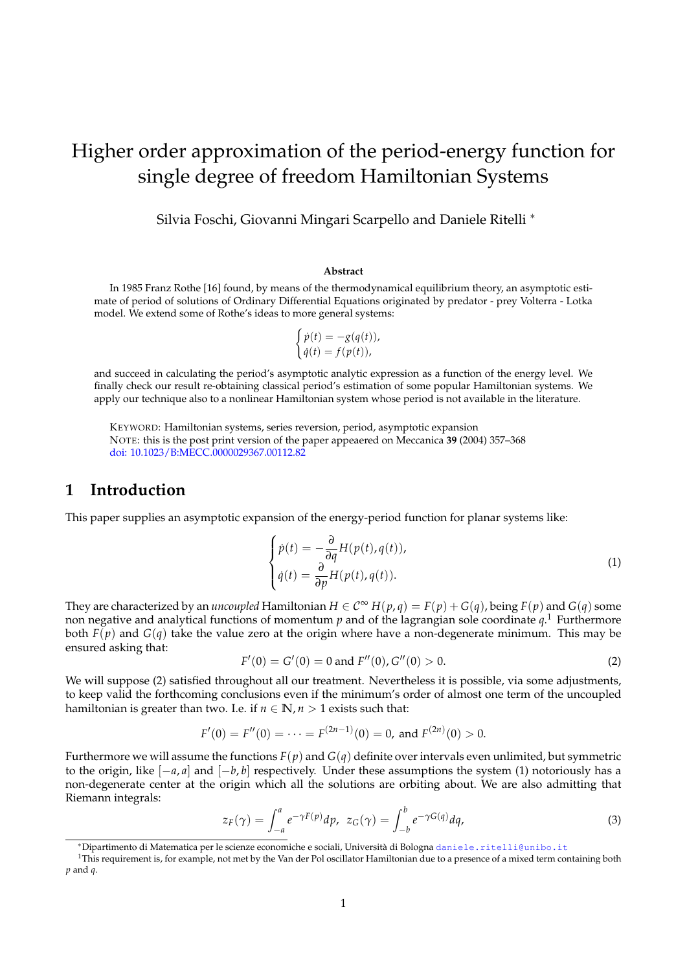# Higher order approximation of the period-energy function for single degree of freedom Hamiltonian Systems

Silvia Foschi, Giovanni Mingari Scarpello and Daniele Ritelli <sup>∗</sup>

#### **Abstract**

In 1985 Franz Rothe [16] found, by means of the thermodynamical equilibrium theory, an asymptotic estimate of period of solutions of Ordinary Differential Equations originated by predator - prey Volterra - Lotka model. We extend some of Rothe's ideas to more general systems:

$$
\begin{cases}\n\dot{p}(t) = -g(q(t)), \\
\dot{q}(t) = f(p(t)),\n\end{cases}
$$

and succeed in calculating the period's asymptotic analytic expression as a function of the energy level. We finally check our result re-obtaining classical period's estimation of some popular Hamiltonian systems. We apply our technique also to a nonlinear Hamiltonian system whose period is not available in the literature.

KEYWORD: Hamiltonian systems, series reversion, period, asymptotic expansion NOTE: this is the post print version of the paper appeaered on Meccanica **39** (2004) 357–368 doi: 10.1023/B:MECC.0000029367.00112.82

## **1 Introduction**

This paper supplies an asymptotic expansion of the energy-period function for planar systems like:

$$
\begin{cases}\n\dot{p}(t) = -\frac{\partial}{\partial q} H(p(t), q(t)), \\
\dot{q}(t) = \frac{\partial}{\partial p} H(p(t), q(t)).\n\end{cases}
$$
\n(1)

They are characterized by an *uncoupled* Hamiltonian  $H \in C^{\infty}$   $H(p,q) = F(p) + G(q)$ , being  $F(p)$  and  $G(q)$  some non negative and analytical functions of momentum *p* and of the lagrangian sole coordinate *q*. <sup>1</sup> Furthermore both  $F(p)$  and  $G(q)$  take the value zero at the origin where have a non-degenerate minimum. This may be ensured asking that:

$$
F'(0) = G'(0) = 0 \text{ and } F''(0), G''(0) > 0.
$$
 (2)

We will suppose (2) satisfied throughout all our treatment. Nevertheless it is possible, via some adjustments, to keep valid the forthcoming conclusions even if the minimum's order of almost one term of the uncoupled hamiltonian is greater than two. I.e. if  $n \in \mathbb{N}$ ,  $n > 1$  exists such that:

$$
F'(0) = F''(0) = \cdots = F^{(2n-1)}(0) = 0
$$
, and  $F^{(2n)}(0) > 0$ .

Furthermore we will assume the functions *F*(*p*) and *G*(*q*) definite over intervals even unlimited, but symmetric to the origin, like [−*a*, *a*] and [−*b*, *b*] respectively. Under these assumptions the system (1) notoriously has a non-degenerate center at the origin which all the solutions are orbiting about. We are also admitting that Riemann integrals:

$$
z_F(\gamma) = \int_{-a}^{a} e^{-\gamma F(p)} dp, \ z_G(\gamma) = \int_{-b}^{b} e^{-\gamma G(q)} dq,
$$
 (3)

<sup>\*</sup>Dipartimento di Matematica per le scienze economiche e sociali, Università di Bologna daniele.ritelli@unibo.it

 $1$ This requirement is, for example, not met by the Van der Pol oscillator Hamiltonian due to a presence of a mixed term containing both *p* and *q*.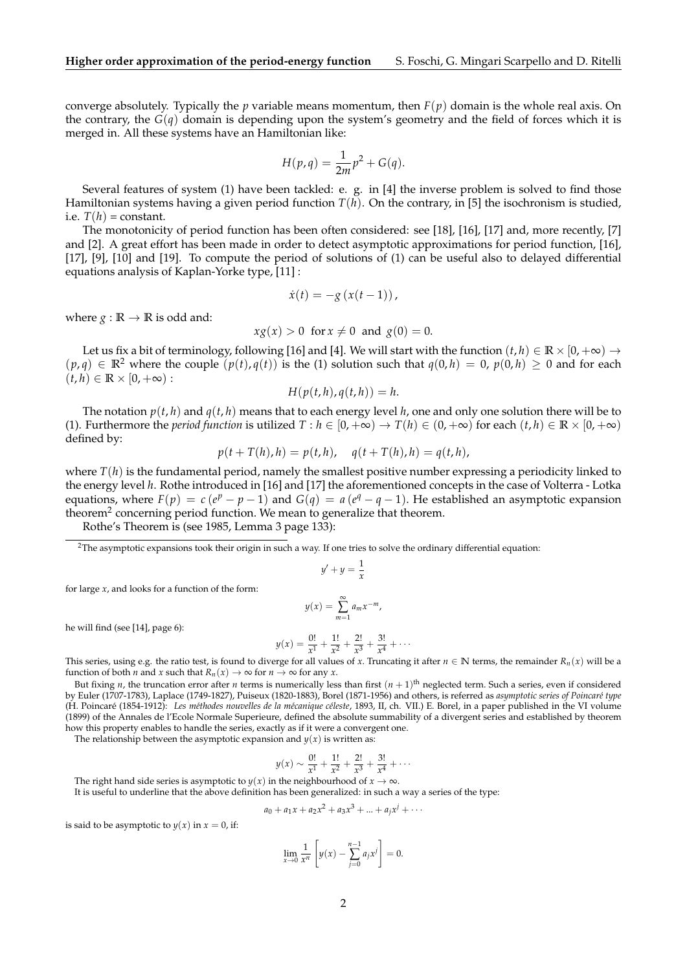converge absolutely. Typically the *p* variable means momentum, then  $F(p)$  domain is the whole real axis. On the contrary, the  $G(q)$  domain is depending upon the system's geometry and the field of forces which it is merged in. All these systems have an Hamiltonian like:

$$
H(p,q) = \frac{1}{2m}p^2 + G(q).
$$

Several features of system (1) have been tackled: e. g. in [4] the inverse problem is solved to find those Hamiltonian systems having a given period function *T*(*h*). On the contrary, in [5] the isochronism is studied, i.e.  $T(h)$  = constant.

The monotonicity of period function has been often considered: see [18], [16], [17] and, more recently, [7] and [2]. A great effort has been made in order to detect asymptotic approximations for period function, [16], [17], [9], [10] and [19]. To compute the period of solutions of (1) can be useful also to delayed differential equations analysis of Kaplan-Yorke type, [11] :

$$
\dot{x}(t) = -g(x(t-1)),
$$

where  $g : \mathbb{R} \to \mathbb{R}$  is odd and:

$$
xg(x) > 0 \text{ for } x \neq 0 \text{ and } g(0) = 0.
$$

Let us fix a bit of terminology, following [16] and [4]. We will start with the function  $(t, h) \in \mathbb{R} \times [0, +\infty) \to$  $(p,q) \in \mathbb{R}^2$  where the couple  $(p(t), q(t))$  is the (1) solution such that  $q(0,h) = 0$ ,  $p(0,h) \ge 0$  and for each  $(t, h) \in \mathbb{R} \times [0, +\infty)$ :

$$
H(p(t,h), q(t,h)) = h.
$$

The notation  $p(t, h)$  and  $q(t, h)$  means that to each energy level h, one and only one solution there will be to (1). Furthermore the *period function* is utilized  $T : h \in [0, +\infty) \to T(h) \in (0, +\infty)$  for each  $(t, h) \in \mathbb{R} \times [0, +\infty)$ defined by:

$$
p(t + T(h), h) = p(t, h), q(t + T(h), h) = q(t, h),
$$

where  $T(h)$  is the fundamental period, namely the smallest positive number expressing a periodicity linked to the energy level *h*. Rothe introduced in [16] and [17] the aforementioned concepts in the case of Volterra - Lotka equations, where  $F(p) = c(e^p - p - 1)$  and  $G(q) = a(e^q - q - 1)$ . He established an asymptotic expansion theorem<sup>2</sup> concerning period function. We mean to generalize that theorem.

Rothe's Theorem is (see 1985, Lemma 3 page 133):

<sup>2</sup>The asymptotic expansions took their origin in such a way. If one tries to solve the ordinary differential equation:

$$
y'+y=\frac{1}{x}
$$

for large *x*, and looks for a function of the form:

$$
y(x) = \sum_{m=1}^{\infty} a_m x^{-m},
$$

he will find (see [14], page 6):

$$
y(x) = \frac{0!}{x^1} + \frac{1!}{x^2} + \frac{2!}{x^3} + \frac{3!}{x^4} + \cdots
$$

This series, using e.g. the ratio test, is found to diverge for all values of *x*. Truncating it after  $n \in \mathbb{N}$  terms, the remainder  $R_n(x)$  will be a function of both *n* and *x* such that  $R_n(x) \to \infty$  for  $n \to \infty$  for any *x*.

But fixing *n*, the truncation error after *n* terms is numerically less than first  $(n + 1)$ <sup>th</sup> neglected term. Such a series, even if considered by Euler (1707-1783), Laplace (1749-1827), Puiseux (1820-1883), Borel (1871-1956) and others, is referred as *asymptotic series of Poincar´e type* (H. Poincaré (1854-1912): Les méthodes nouvelles de la mécanique céleste, 1893, II, ch. VII.) E. Borel, in a paper published in the VI volume (1899) of the Annales de l'Ecole Normale Superieure, defined the absolute summability of a divergent series and established by theorem how this property enables to handle the series, exactly as if it were a convergent one.

The relationship between the asymptotic expansion and  $y(x)$  is written as:

$$
y(x) \sim \frac{0!}{x^1} + \frac{1!}{x^2} + \frac{2!}{x^3} + \frac{3!}{x^4} + \cdots
$$

The right hand side series is asymptotic to *y*(*x*) in the neighbourhood of *x*  $\rightarrow \infty$ .

It is useful to underline that the above definition has been generalized: in such a way a series of the type:

$$
a_0 + a_1 x + a_2 x^2 + a_3 x^3 + \dots + a_j x^j + \dots
$$

is said to be asymptotic to  $y(x)$  in  $x = 0$ , if:

$$
\lim_{x \to 0} \frac{1}{x^n} \left[ y(x) - \sum_{j=0}^{n-1} a_j x^j \right] = 0.
$$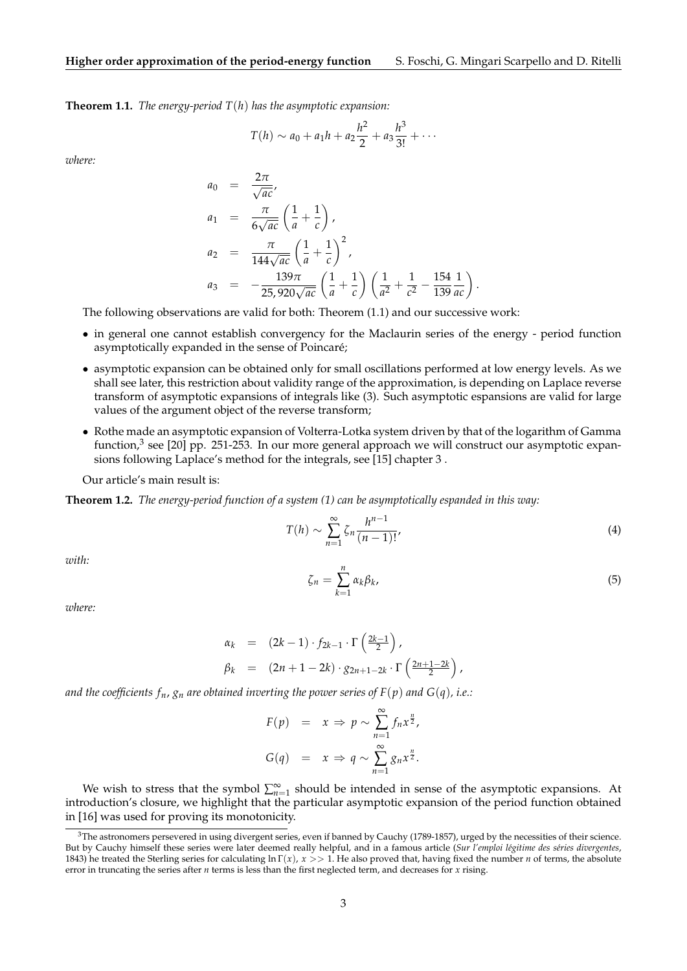**Theorem 1.1.** *The energy-period T*(*h*) *has the asymptotic expansion:*

$$
T(h) \sim a_0 + a_1 h + a_2 \frac{h^2}{2} + a_3 \frac{h^3}{3!} + \cdots
$$

*where:*

$$
a_0 = \frac{2\pi}{\sqrt{ac}},
$$
  
\n
$$
a_1 = \frac{\pi}{6\sqrt{ac}} \left(\frac{1}{a} + \frac{1}{c}\right),
$$
  
\n
$$
a_2 = \frac{\pi}{144\sqrt{ac}} \left(\frac{1}{a} + \frac{1}{c}\right)^2,
$$
  
\n
$$
a_3 = -\frac{139\pi}{25,920\sqrt{ac}} \left(\frac{1}{a} + \frac{1}{c}\right) \left(\frac{1}{a^2} + \frac{1}{c^2} - \frac{154}{139}\frac{1}{ac}\right)
$$

The following observations are valid for both: Theorem (1.1) and our successive work:

- in general one cannot establish convergency for the Maclaurin series of the energy period function asymptotically expanded in the sense of Poincaré;
- asymptotic expansion can be obtained only for small oscillations performed at low energy levels. As we shall see later, this restriction about validity range of the approximation, is depending on Laplace reverse transform of asymptotic expansions of integrals like (3). Such asymptotic espansions are valid for large values of the argument object of the reverse transform;
- Rothe made an asymptotic expansion of Volterra-Lotka system driven by that of the logarithm of Gamma function,<sup>3</sup> see [20] pp. 251-253. In our more general approach we will construct our asymptotic expansions following Laplace's method for the integrals, see [15] chapter 3 .

Our article's main result is:

**Theorem 1.2.** *The energy-period function of a system (1) can be asymptotically espanded in this way:*

$$
T(h) \sim \sum_{n=1}^{\infty} \zeta_n \frac{h^{n-1}}{(n-1)!},\tag{4}
$$

*with:*

*where:*

*ζ<sup>n</sup>* = *n* ∑ *k*=1 *αkβk* ,  $(5)$ 

.

$$
\alpha_k = (2k-1) \cdot f_{2k-1} \cdot \Gamma\left(\frac{2k-1}{2}\right),
$$
  
\n
$$
\beta_k = (2n+1-2k) \cdot g_{2n+1-2k} \cdot \Gamma\left(\frac{2n+1-2k}{2}\right),
$$

*and the coefficients*  $f_n$ *,*  $g_n$  *are obtained inverting the power series of*  $F(p)$  *and*  $G(q)$ *, i.e.:* 

$$
F(p) = x \Rightarrow p \sim \sum_{n=1}^{\infty} f_n x^{\frac{n}{2}},
$$
  

$$
G(q) = x \Rightarrow q \sim \sum_{n=1}^{\infty} g_n x^{\frac{n}{2}}.
$$

We wish to stress that the symbol  $\sum_{n=1}^{\infty}$  should be intended in sense of the asymptotic expansions. At introduction's closure, we highlight that the particular asymptotic expansion of the period function obtained in [16] was used for proving its monotonicity.

 $3$ The astronomers persevered in using divergent series, even if banned by Cauchy (1789-1857), urged by the necessities of their science. But by Cauchy himself these series were later deemed really helpful, and in a famous article (Sur l'emploi légitime des séries divergentes, 1843) he treated the Sterling series for calculating ln Γ(*x*), *x* >> 1. He also proved that, having fixed the number *n* of terms, the absolute error in truncating the series after *n* terms is less than the first neglected term, and decreases for *x* rising.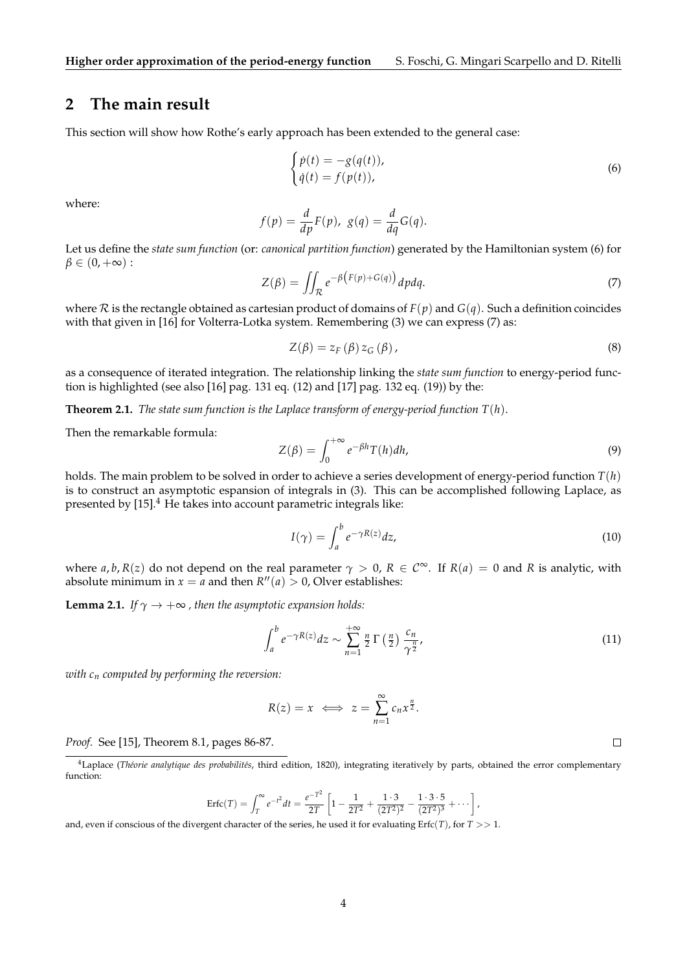## **2 The main result**

This section will show how Rothe's early approach has been extended to the general case:

$$
\begin{cases}\n\dot{p}(t) = -g(q(t)), \\
\dot{q}(t) = f(p(t)),\n\end{cases}
$$
\n(6)

where:

$$
f(p) = \frac{d}{dp}F(p), \ g(q) = \frac{d}{dq}G(q).
$$

Let us define the *state sum function* (or: *canonical partition function*) generated by the Hamiltonian system (6) for  $\beta \in (0, +\infty)$ :

$$
Z(\beta) = \iint_{\mathcal{R}} e^{-\beta \left( F(p) + G(q) \right)} dp dq. \tag{7}
$$

where  $R$  is the rectangle obtained as cartesian product of domains of  $F(p)$  and  $G(q)$ . Such a definition coincides with that given in [16] for Volterra-Lotka system. Remembering (3) we can express (7) as:

$$
Z(\beta) = z_F(\beta) z_G(\beta), \qquad (8)
$$

as a consequence of iterated integration. The relationship linking the *state sum function* to energy-period function is highlighted (see also [16] pag. 131 eq. (12) and [17] pag. 132 eq. (19)) by the:

**Theorem 2.1.** *The state sum function is the Laplace transform of energy-period function T*(*h*).

Then the remarkable formula:

$$
Z(\beta) = \int_0^{+\infty} e^{-\beta h} T(h) dh,
$$
\n(9)

holds. The main problem to be solved in order to achieve a series development of energy-period function *T*(*h*) is to construct an asymptotic espansion of integrals in (3). This can be accomplished following Laplace, as presented by  $[15]$ .<sup>4</sup> He takes into account parametric integrals like:

$$
I(\gamma) = \int_{a}^{b} e^{-\gamma R(z)} dz,
$$
\n(10)

where  $a, b, R(z)$  do not depend on the real parameter  $\gamma > 0$ ,  $R \in \mathbb{C}^{\infty}$ . If  $R(a) = 0$  and  $R$  is analytic, with absolute minimum in  $x = a$  and then  $R''(a) > 0$ , Olver establishes:

**Lemma 2.1.** *If*  $\gamma \rightarrow +\infty$  *, then the asymptotic expansion holds:* 

$$
\int_{a}^{b} e^{-\gamma R(z)} dz \sim \sum_{n=1}^{+\infty} \frac{n}{2} \Gamma\left(\frac{n}{2}\right) \frac{c_n}{\gamma^{\frac{n}{2}}},\tag{11}
$$

*with c<sup>n</sup> computed by performing the reversion:*

$$
R(z) = x \iff z = \sum_{n=1}^{\infty} c_n x^{\frac{n}{2}}.
$$

*Proof.* See [15], Theorem 8.1, pages 86-87.

$$
\text{Erfc}(T) = \int_T^{\infty} e^{-t^2} dt = \frac{e^{-T^2}}{2T} \left[ 1 - \frac{1}{2T^2} + \frac{1 \cdot 3}{(2T^2)^2} - \frac{1 \cdot 3 \cdot 5}{(2T^2)^3} + \cdots \right],
$$

and, even if conscious of the divergent character of the series, he used it for evaluating Erfc(*T*), for *T* >> 1.

 $\Box$ 

<sup>&</sup>lt;sup>4</sup>Laplace (*Théorie analytique des probabilités*, third edition, 1820), integrating iteratively by parts, obtained the error complementary function: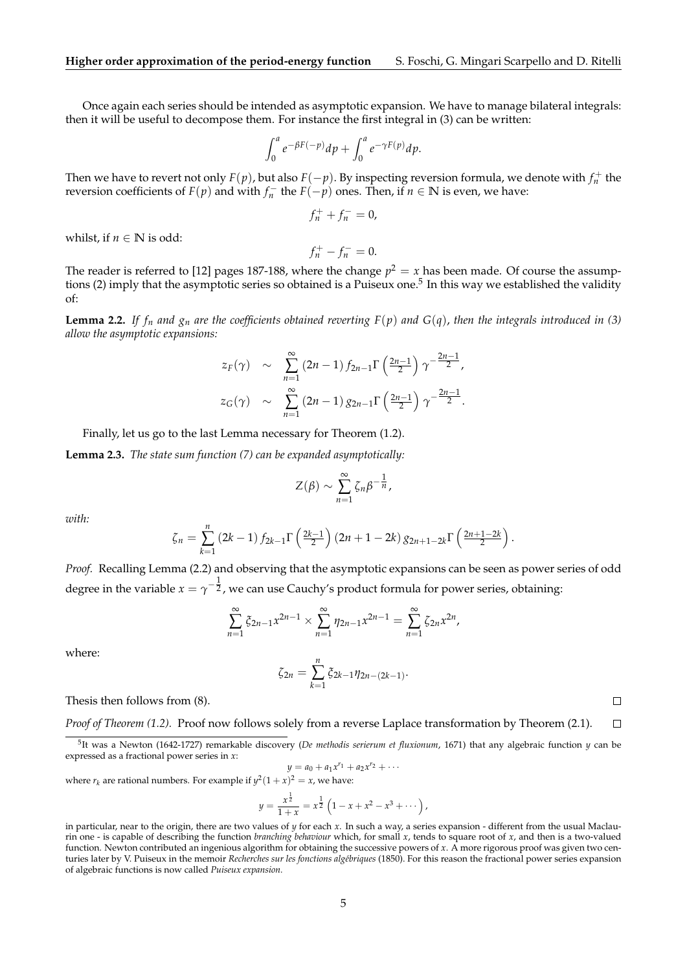Once again each series should be intended as asymptotic expansion. We have to manage bilateral integrals: then it will be useful to decompose them. For instance the first integral in (3) can be written:

$$
\int_0^a e^{-\beta F(-p)} dp + \int_0^a e^{-\gamma F(p)} dp.
$$

Then we have to revert not only  $F(p)$ , but also  $F(-p)$ . By inspecting reversion formula, we denote with  $f_n^+$  the reversion coefficients of  $F(p)$  and with  $f_n^-$  the  $F(-p)$  ones. Then, if  $n \in \mathbb{N}$  is even, we have:

$$
f_n^+ + f_n^- = 0,
$$

whilst, if  $n \in \mathbb{N}$  is odd:

 $f_n^+ - f_n^- = 0.$ 

The reader is referred to [12] pages 187-188, where the change  $p^2 = x$  has been made. Of course the assumptions (2) imply that the asymptotic series so obtained is a Puiseux one.<sup>5</sup> In this way we established the validity of:

**Lemma 2.2.** If  $f_n$  and  $g_n$  are the coefficients obtained reverting  $F(p)$  and  $G(q)$ , then the integrals introduced in (3) *allow the asymptotic expansions:*

$$
z_F(\gamma) \sim \sum_{n=1}^{\infty} (2n-1) f_{2n-1} \Gamma\left(\frac{2n-1}{2}\right) \gamma^{-\frac{2n-1}{2}},
$$
  

$$
z_G(\gamma) \sim \sum_{n=1}^{\infty} (2n-1) g_{2n-1} \Gamma\left(\frac{2n-1}{2}\right) \gamma^{-\frac{2n-1}{2}}.
$$

Finally, let us go to the last Lemma necessary for Theorem (1.2).

**Lemma 2.3.** *The state sum function (7) can be expanded asymptotically:*

$$
Z(\beta) \sim \sum_{n=1}^{\infty} \zeta_n \beta^{-\frac{1}{n}},
$$

*with:*

$$
\zeta_n = \sum_{k=1}^n (2k-1) f_{2k-1} \Gamma\left(\frac{2k-1}{2}\right) (2n+1-2k) g_{2n+1-2k} \Gamma\left(\frac{2n+1-2k}{2}\right).
$$

*Proof.* Recalling Lemma (2.2) and observing that the asymptotic expansions can be seen as power series of odd degree in the variable  $x=\gamma^{-\tfrac{1}{2}}$ , we can use Cauchy's product formula for power series, obtaining:

$$
\sum_{n=1}^{\infty} \xi_{2n-1} x^{2n-1} \times \sum_{n=1}^{\infty} \eta_{2n-1} x^{2n-1} = \sum_{n=1}^{\infty} \zeta_{2n} x^{2n},
$$

where:

$$
\zeta_{2n} = \sum_{k=1}^{n} \xi_{2k-1} \eta_{2n-(2k-1)}.
$$

Thesis then follows from (8).

*Proof of Theorem (1.2).* Proof now follows solely from a reverse Laplace transformation by Theorem (2.1).  $\Box$ 

 $y = a_0 + a_1 x^{r_1} + a_2 x^{r_2} + \cdots$ where  $r_k$  are rational numbers. For example if  $y^2(1+x)^2 = x$ , we have:

$$
y = \frac{x^{\frac{1}{2}}}{1+x} = x^{\frac{1}{2}} \left( 1 - x + x^2 - x^3 + \cdots \right),
$$

 $\Box$ 

<sup>5</sup> It was a Newton (1642-1727) remarkable discovery (*De methodis serierum et fluxionum*, 1671) that any algebraic function *y* can be expressed as a fractional power series in *x*:

in particular, near to the origin, there are two values of *y* for each *x*. In such a way, a series expansion - different from the usual Maclaurin one - is capable of describing the function *branching behaviour* which, for small *x*, tends to square root of *x*, and then is a two-valued function. Newton contributed an ingenious algorithm for obtaining the successive powers of *x*. A more rigorous proof was given two centuries later by V. Puiseux in the memoir *Recherches sur les fonctions algébriques* (1850). For this reason the fractional power series expansion of algebraic functions is now called *Puiseux expansion.*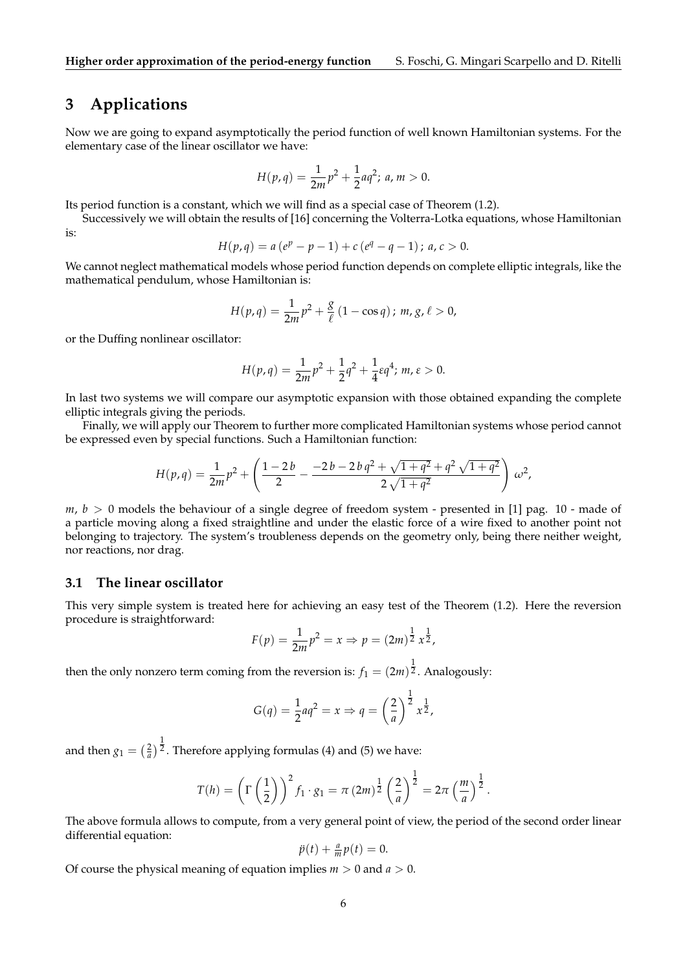## **3 Applications**

Now we are going to expand asymptotically the period function of well known Hamiltonian systems. For the elementary case of the linear oscillator we have:

$$
H(p,q) = \frac{1}{2m}p^2 + \frac{1}{2}aq^2; \, a, m > 0.
$$

Its period function is a constant, which we will find as a special case of Theorem (1.2).

Successively we will obtain the results of [16] concerning the Volterra-Lotka equations, whose Hamiltonian is:

$$
H(p,q) = a(ep - p - 1) + c(eq - q - 1); a, c > 0.
$$

We cannot neglect mathematical models whose period function depends on complete elliptic integrals, like the mathematical pendulum, whose Hamiltonian is:

$$
H(p,q) = \frac{1}{2m}p^2 + \frac{g}{\ell}(1 - \cos q) ; m, g, \ell > 0,
$$

or the Duffing nonlinear oscillator:

$$
H(p,q) = \frac{1}{2m}p^2 + \frac{1}{2}q^2 + \frac{1}{4}\varepsilon q^4; m, \varepsilon > 0.
$$

In last two systems we will compare our asymptotic expansion with those obtained expanding the complete elliptic integrals giving the periods.

Finally, we will apply our Theorem to further more complicated Hamiltonian systems whose period cannot be expressed even by special functions. Such a Hamiltonian function:

$$
H(p,q) = \frac{1}{2m}p^2 + \left(\frac{1-2b}{2} - \frac{-2b-2bq^2 + \sqrt{1+q^2} + q^2\sqrt{1+q^2}}{2\sqrt{1+q^2}}\right)\omega^2,
$$

 $m, b > 0$  models the behaviour of a single degree of freedom system - presented in [1] pag. 10 - made of a particle moving along a fixed straightline and under the elastic force of a wire fixed to another point not belonging to trajectory. The system's troubleness depends on the geometry only, being there neither weight, nor reactions, nor drag.

#### **3.1 The linear oscillator**

This very simple system is treated here for achieving an easy test of the Theorem (1.2). Here the reversion procedure is straightforward:

$$
F(p) = \frac{1}{2m}p^2 = x \Rightarrow p = (2m)^{\frac{1}{2}}x^{\frac{1}{2}},
$$

then the only nonzero term coming from the reversion is:  $f_1=(2m)^{\tfrac{1}{2}}.$  Analogously:

$$
G(q) = \frac{1}{2}aq^2 = x \Rightarrow q = \left(\frac{2}{a}\right)^{\frac{1}{2}} x^{\frac{1}{2}},
$$

and then  $g_1=\big(\frac{2}{a}\big)^{\tfrac{1}{2}}.$  Therefore applying formulas (4) and (5) we have:

$$
T(h) = \left(\Gamma\left(\frac{1}{2}\right)\right)^2 f_1 \cdot g_1 = \pi (2m)^{\frac{1}{2}} \left(\frac{2}{a}\right)^{\frac{1}{2}} = 2\pi \left(\frac{m}{a}\right)^{\frac{1}{2}}.
$$

The above formula allows to compute, from a very general point of view, the period of the second order linear differential equation:

$$
\ddot{p}(t) + \frac{a}{m}p(t) = 0.
$$

Of course the physical meaning of equation implies  $m > 0$  and  $a > 0$ .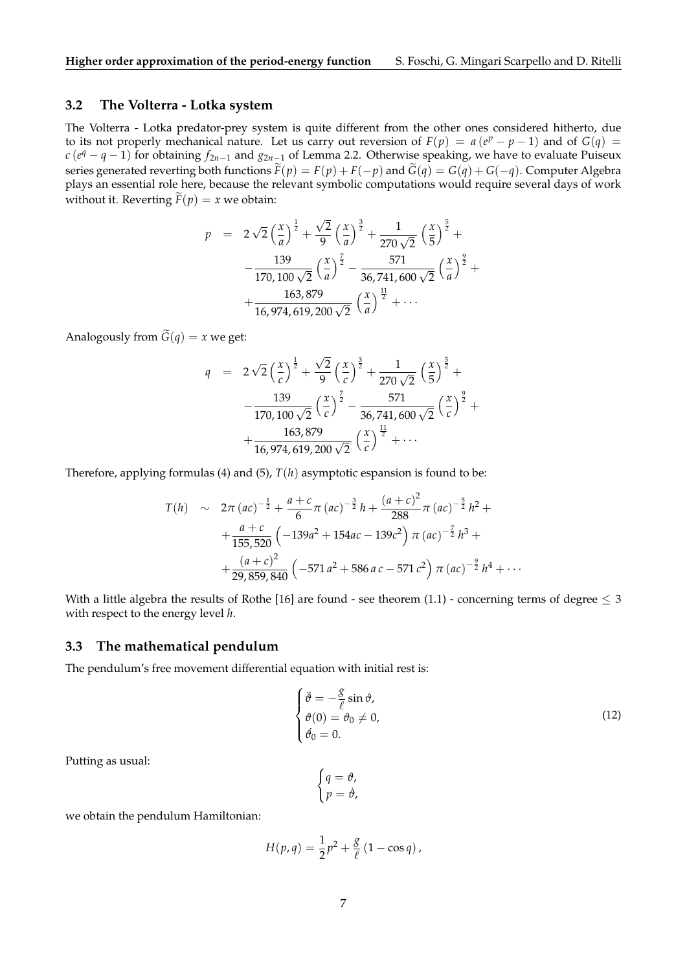## **3.2 The Volterra - Lotka system**

The Volterra - Lotka predator-prey system is quite different from the other ones considered hitherto, due to its not properly mechanical nature. Let us carry out reversion of  $F(p) = a(e^p - p - 1)$  and of  $G(q) =$ *c* (*e <sup>q</sup>* − *q* − 1) for obtaining *f*2*n*−<sup>1</sup> and *g*2*n*−<sup>1</sup> of Lemma 2.2. Otherwise speaking, we have to evaluate Puiseux series generated reverting both functions  $\tilde{F}(p) = F(p) + F(-p)$  and  $\tilde{G}(q) = G(q) + G(-q)$ . Computer Algebra plays an essential role here, because the relevant symbolic computations would require several days of work without it. Reverting  $\widetilde{F}(p) = x$  we obtain:

$$
p = 2\sqrt{2}\left(\frac{x}{a}\right)^{\frac{1}{2}} + \frac{\sqrt{2}}{9}\left(\frac{x}{a}\right)^{\frac{3}{2}} + \frac{1}{270\sqrt{2}}\left(\frac{x}{5}\right)^{\frac{5}{2}} + \\ -\frac{139}{170,100\sqrt{2}}\left(\frac{x}{a}\right)^{\frac{7}{2}} - \frac{571}{36,741,600\sqrt{2}}\left(\frac{x}{a}\right)^{\frac{9}{2}} + \\ +\frac{163,879}{16,974,619,200\sqrt{2}}\left(\frac{x}{a}\right)^{\frac{11}{2}} + \cdots
$$

Analogously from  $\tilde{G}(q) = x$  we get:

$$
q = 2\sqrt{2}\left(\frac{x}{c}\right)^{\frac{1}{2}} + \frac{\sqrt{2}}{9}\left(\frac{x}{c}\right)^{\frac{3}{2}} + \frac{1}{270\sqrt{2}}\left(\frac{x}{5}\right)^{\frac{5}{2}} + \\ - \frac{139}{170,100\sqrt{2}}\left(\frac{x}{c}\right)^{\frac{7}{2}} - \frac{571}{36,741,600\sqrt{2}}\left(\frac{x}{c}\right)^{\frac{9}{2}} + \\ + \frac{163,879}{16,974,619,200\sqrt{2}}\left(\frac{x}{c}\right)^{\frac{11}{2}} + \cdots
$$

Therefore, applying formulas (4) and (5), *T*(*h*) asymptotic espansion is found to be:

$$
T(h) \sim 2\pi (ac)^{-\frac{1}{2}} + \frac{a+c}{6}\pi (ac)^{-\frac{3}{2}}h + \frac{(a+c)^2}{288}\pi (ac)^{-\frac{5}{2}}h^2 +
$$
  
+ 
$$
\frac{a+c}{155,520} \left(-139a^2 + 154ac - 139c^2\right) \pi (ac)^{-\frac{7}{2}}h^3 +
$$
  
+ 
$$
\frac{(a+c)^2}{29,859,840} \left(-571a^2 + 586ac - 571c^2\right) \pi (ac)^{-\frac{9}{2}}h^4 + \cdots
$$

With a little algebra the results of Rothe [16] are found - see theorem (1.1) - concerning terms of degree  $\leq 3$ with respect to the energy level *h*.

#### **3.3 The mathematical pendulum**

The pendulum's free movement differential equation with initial rest is:

$$
\begin{cases}\n\ddot{\theta} = -\frac{g}{\ell} \sin \theta, \\
\theta(0) = \theta_0 \neq 0, \\
\dot{\theta}_0 = 0.\n\end{cases}
$$
\n(12)

Putting as usual:

$$
\begin{cases}\n q = \vartheta, \\
 p = \dot{\vartheta},\n\end{cases}
$$

we obtain the pendulum Hamiltonian:

$$
H(p,q) = \frac{1}{2}p^2 + \frac{g}{\ell}(1 - \cos q),
$$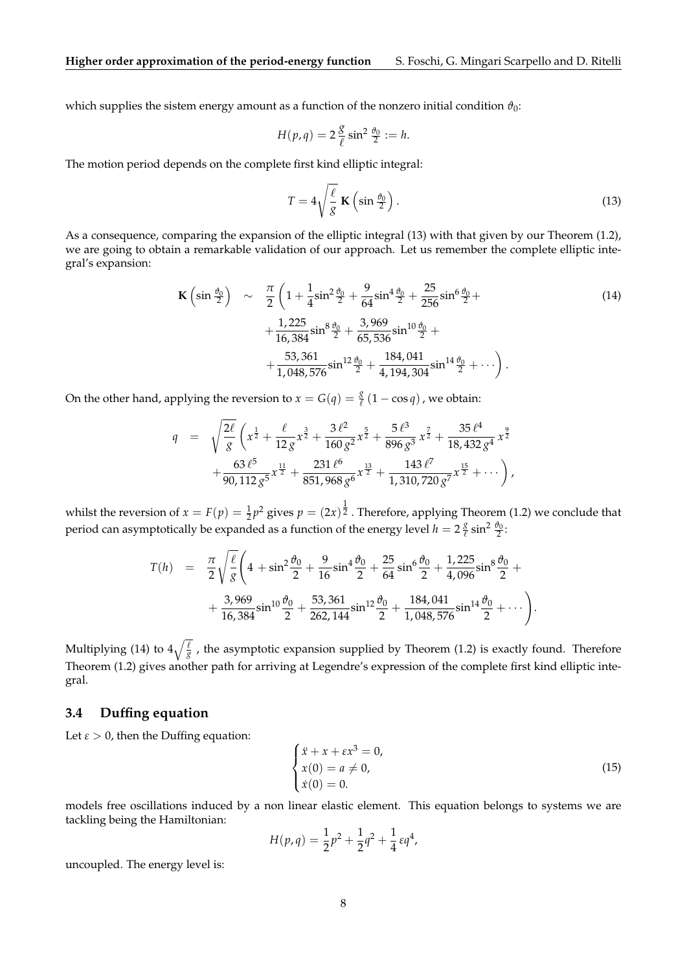which supplies the sistem energy amount as a function of the nonzero initial condition  $\vartheta_0$ :

$$
H(p,q) = 2\frac{g}{\ell} \sin^2 \frac{\theta_0}{2} := h.
$$

The motion period depends on the complete first kind elliptic integral:

$$
T = 4\sqrt{\frac{\ell}{g}} \mathbf{K}\left(\sin\frac{\theta_0}{2}\right). \tag{13}
$$

As a consequence, comparing the expansion of the elliptic integral (13) with that given by our Theorem (1.2), we are going to obtain a remarkable validation of our approach. Let us remember the complete elliptic integral's expansion:

$$
\mathbf{K}\left(\sin\frac{\theta_0}{2}\right) \sim \frac{\pi}{2}\left(1 + \frac{1}{4}\sin^2\frac{\theta_0}{2} + \frac{9}{64}\sin^4\frac{\theta_0}{2} + \frac{25}{256}\sin^6\frac{\theta_0}{2} + \frac{1,225}{16,384}\sin^8\frac{\theta_0}{2} + \frac{3,969}{65,536}\sin^{10}\frac{\theta_0}{2} + \frac{53,361}{1,048,576}\sin^{12}\frac{\theta_0}{2} + \frac{184,041}{4,194,304}\sin^{14}\frac{\theta_0}{2} + \cdots\right).
$$
\n(14)

On the other hand, applying the reversion to  $x = G(q) = \frac{g}{\ell}(1 - \cos q)$ , we obtain:

$$
q = \sqrt{\frac{2\ell}{g}} \left( x^{\frac{1}{2}} + \frac{\ell}{12 g} x^{\frac{3}{2}} + \frac{3 \ell^2}{160 g^2} x^{\frac{5}{2}} + \frac{5 \ell^3}{896 g^3} x^{\frac{7}{2}} + \frac{35 \ell^4}{18,432 g^4} x^{\frac{9}{2}} + \frac{63 \ell^5}{90,112 g^5} x^{\frac{11}{2}} + \frac{231 \ell^6}{851,968 g^6} x^{\frac{13}{2}} + \frac{143 \ell^7}{1,310,720 g^7} x^{\frac{15}{2}} + \cdots \right),
$$

whilst the reversion of  $x = F(p) = \frac{1}{2}p^2$  gives  $p = (2x)^{\frac{1}{2}}$ . Therefore, applying Theorem (1.2) we conclude that period can asymptotically be expanded as a function of the energy level  $h = 2\frac{g}{\ell}$  $\frac{g}{\ell} \sin^2 \frac{\theta_0}{2}$ :

$$
T(h) = \frac{\pi}{2} \sqrt{\frac{\ell}{g}} \left( 4 + \sin^2 \frac{\vartheta_0}{2} + \frac{9}{16} \sin^4 \frac{\vartheta_0}{2} + \frac{25}{64} \sin^6 \frac{\vartheta_0}{2} + \frac{1,225}{4,096} \sin^8 \frac{\vartheta_0}{2} + \frac{3,969}{16,384} \sin^{10} \frac{\vartheta_0}{2} + \frac{53,361}{262,144} \sin^{12} \frac{\vartheta_0}{2} + \frac{184,041}{1,048,576} \sin^{14} \frac{\vartheta_0}{2} + \cdots \right).
$$

Multiplying (14) to  $4\sqrt{\frac{\ell}{g}}$  , the asymptotic expansion supplied by Theorem (1.2) is exactly found. Therefore Theorem (1.2) gives another path for arriving at Legendre's expression of the complete first kind elliptic integral.

### **3.4 Duffing equation**

Let  $\varepsilon > 0$ , then the Duffing equation:

$$
\begin{cases}\n\ddot{x} + x + \varepsilon x^3 = 0, \\
x(0) = a \neq 0, \\
\dot{x}(0) = 0.\n\end{cases}
$$
\n(15)

models free oscillations induced by a non linear elastic element. This equation belongs to systems we are tackling being the Hamiltonian:

$$
H(p,q) = \frac{1}{2}p^2 + \frac{1}{2}q^2 + \frac{1}{4}\epsilon q^4,
$$

uncoupled. The energy level is: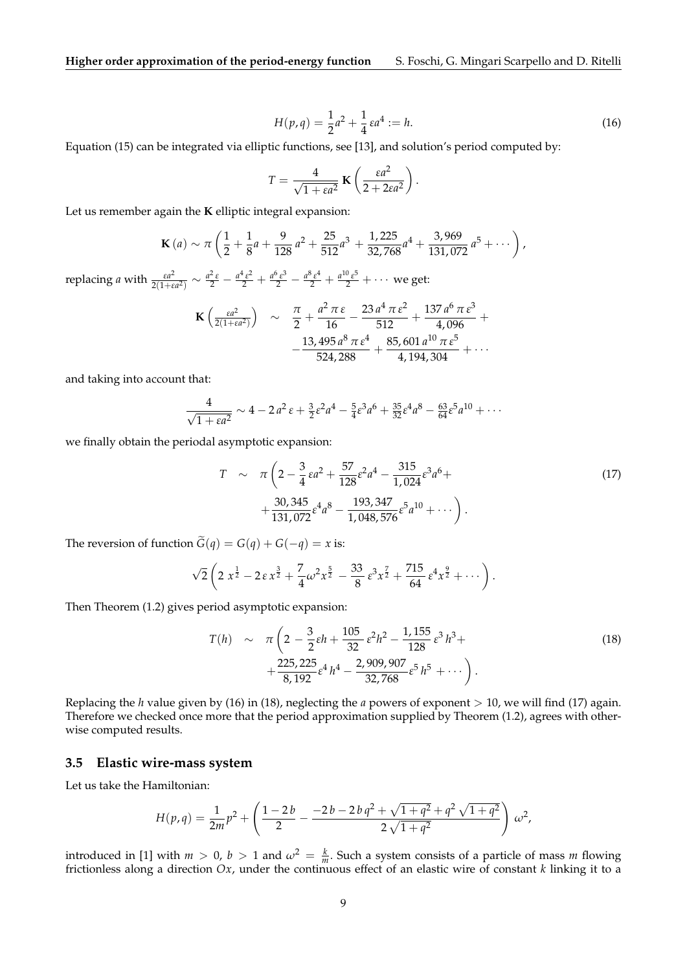$$
H(p,q) = \frac{1}{2}a^2 + \frac{1}{4}\varepsilon a^4 := h.
$$
 (16)

Equation (15) can be integrated via elliptic functions, see [13], and solution's period computed by:

$$
T = \frac{4}{\sqrt{1 + \varepsilon a^2}} \mathbf{K} \left( \frac{\varepsilon a^2}{2 + 2\varepsilon a^2} \right).
$$

Let us remember again the **K** elliptic integral expansion:

$$
\mathbf{K}\left(a\right) \sim \pi \left(\frac{1}{2} + \frac{1}{8}a + \frac{9}{128}a^2 + \frac{25}{512}a^3 + \frac{1,225}{32,768}a^4 + \frac{3,969}{131,072}a^5 + \cdots\right),\,
$$

replacing *a* with *<sup>ε</sup><sup>a</sup>* 2  $\frac{\varepsilon a^2}{2(1+\varepsilon a^2)} \sim \frac{a^2 \varepsilon}{2} - \frac{a^4 \varepsilon^2}{2} + \frac{a^6 \varepsilon^3}{2} - \frac{a^8 \varepsilon^4}{2} + \frac{a^{10} \varepsilon^5}{2} + \cdots$  we get:

$$
\mathbf{K}\left(\frac{\varepsilon a^2}{2(1+\varepsilon a^2)}\right) \sim \frac{\pi}{2} + \frac{a^2 \pi \varepsilon}{16} - \frac{23 a^4 \pi \varepsilon^2}{512} + \frac{137 a^6 \pi \varepsilon^3}{4,096} + \\ -\frac{13,495 a^8 \pi \varepsilon^4}{524,288} + \frac{85,601 a^{10} \pi \varepsilon^5}{4,194,304} + \cdots
$$

and taking into account that:

$$
\frac{4}{\sqrt{1 + \varepsilon a^2}} \sim 4 - 2 a^2 \varepsilon + \frac{3}{2} \varepsilon^2 a^4 - \frac{5}{4} \varepsilon^3 a^6 + \frac{35}{32} \varepsilon^4 a^8 - \frac{63}{64} \varepsilon^5 a^{10} + \cdots
$$

we finally obtain the periodal asymptotic expansion:

$$
T \sim \pi \left( 2 - \frac{3}{4} \epsilon a^2 + \frac{57}{128} \epsilon^2 a^4 - \frac{315}{1,024} \epsilon^3 a^6 + \right. + \frac{30,345}{131,072} \epsilon^4 a^8 - \frac{193,347}{1,048,576} \epsilon^5 a^{10} + \cdots \right). \tag{17}
$$

The reversion of function  $\tilde{G}(q) = G(q) + G(-q) = x$  is:

$$
\sqrt{2}\left(2\,x^{\frac{1}{2}}-2\,\epsilon\,x^{\frac{3}{2}}+\frac{7}{4}\omega^2x^{\frac{5}{2}}\,-\frac{33}{8}\,\epsilon^3x^{\frac{7}{2}}+\frac{715}{64}\,\epsilon^4x^{\frac{9}{2}}+\cdots\right).
$$

Then Theorem (1.2) gives period asymptotic expansion:

$$
T(h) \sim \pi \left( 2 - \frac{3}{2} \varepsilon h + \frac{105}{32} \varepsilon^2 h^2 - \frac{1,155}{128} \varepsilon^3 h^3 + \frac{225,225}{8,192} \varepsilon^4 h^4 - \frac{2,909,907}{32,768} \varepsilon^5 h^5 + \cdots \right).
$$
\n
$$
(18)
$$

Replacing the *h* value given by (16) in (18), neglecting the *a* powers of exponent > 10, we will find (17) again. Therefore we checked once more that the period approximation supplied by Theorem (1.2), agrees with otherwise computed results.

#### **3.5 Elastic wire-mass system**

Let us take the Hamiltonian:

$$
H(p,q) = \frac{1}{2m}p^{2} + \left(\frac{1-2b}{2} - \frac{-2b-2bq^{2} + \sqrt{1+q^{2}} + q^{2}\sqrt{1+q^{2}}}{2\sqrt{1+q^{2}}}\right)\omega^{2},
$$

introduced in [1] with  $m > 0$ ,  $b > 1$  and  $\omega^2 = \frac{k}{m}$ . Such a system consists of a particle of mass *m* flowing frictionless along a direction *Ox*, under the continuous effect of an elastic wire of constant *k* linking it to a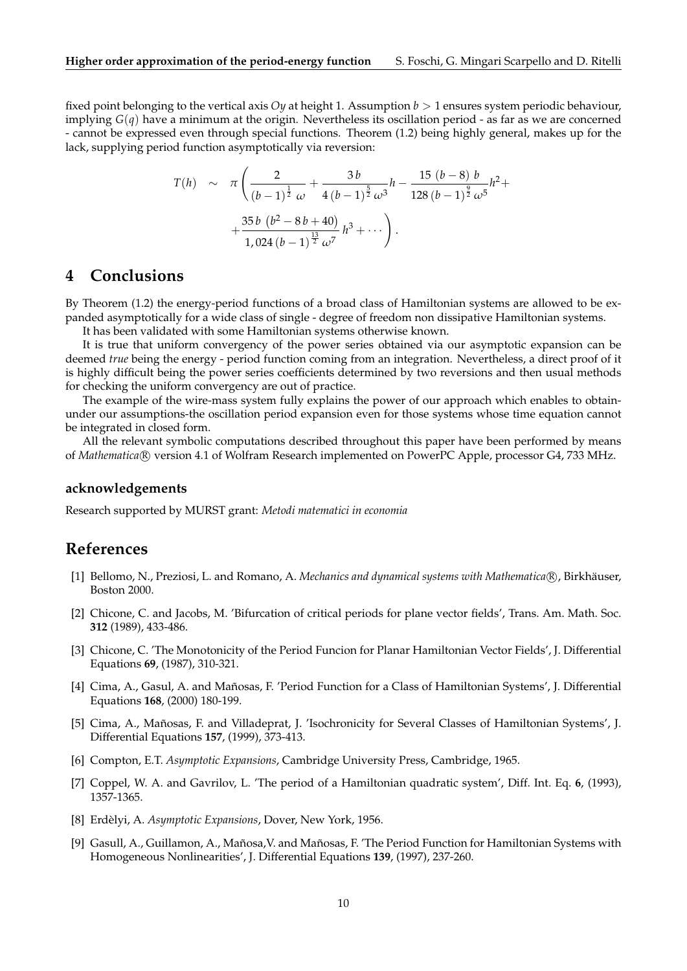fixed point belonging to the vertical axis *Oy* at height 1. Assumption *b* > 1 ensures system periodic behaviour, implying *G*(*q*) have a minimum at the origin. Nevertheless its oscillation period - as far as we are concerned - cannot be expressed even through special functions. Theorem (1.2) being highly general, makes up for the lack, supplying period function asymptotically via reversion:

$$
T(h) \sim \pi \left( \frac{2}{(b-1)^{\frac{1}{2}}} + \frac{3b}{4(b-1)^{\frac{5}{2}}} + \frac{15(b-8)b}{128(b-1)^{\frac{9}{2}}} + \frac{35b(b^2 - 8b + 40)}{1,024(b-1)^{\frac{13}{2}}} + \cdots \right).
$$

# **4 Conclusions**

By Theorem (1.2) the energy-period functions of a broad class of Hamiltonian systems are allowed to be expanded asymptotically for a wide class of single - degree of freedom non dissipative Hamiltonian systems.

It has been validated with some Hamiltonian systems otherwise known.

It is true that uniform convergency of the power series obtained via our asymptotic expansion can be deemed *true* being the energy - period function coming from an integration. Nevertheless, a direct proof of it is highly difficult being the power series coefficients determined by two reversions and then usual methods for checking the uniform convergency are out of practice.

The example of the wire-mass system fully explains the power of our approach which enables to obtainunder our assumptions-the oscillation period expansion even for those systems whose time equation cannot be integrated in closed form.

All the relevant symbolic computations described throughout this paper have been performed by means of *Mathematica* R version 4.1 of Wolfram Research implemented on PowerPC Apple, processor G4, 733 MHz.

#### **acknowledgements**

Research supported by MURST grant: *Metodi matematici in economia*

## **References**

- [1] Bellomo, N., Preziosi, L. and Romano, A. *Mechanics and dynamical systems with Mathematica* (R), Birkhäuser, Boston 2000.
- [2] Chicone, C. and Jacobs, M. 'Bifurcation of critical periods for plane vector fields', Trans. Am. Math. Soc. **312** (1989), 433-486.
- [3] Chicone, C. 'The Monotonicity of the Period Funcion for Planar Hamiltonian Vector Fields', J. Differential Equations **69**, (1987), 310-321.
- [4] Cima, A., Gasul, A. and Mañosas, F. 'Period Function for a Class of Hamiltonian Systems', J. Differential Equations **168**, (2000) 180-199.
- [5] Cima, A., Mañosas, F. and Villadeprat, J. 'Isochronicity for Several Classes of Hamiltonian Systems', J. Differential Equations **157**, (1999), 373-413.
- [6] Compton, E.T. *Asymptotic Expansions*, Cambridge University Press, Cambridge, 1965.
- [7] Coppel, W. A. and Gavrilov, L. 'The period of a Hamiltonian quadratic system', Diff. Int. Eq. **6**, (1993), 1357-1365.
- [8] Erdèlyi, A. *Asymptotic Expansions*, Dover, New York, 1956.
- [9] Gasull, A., Guillamon, A., Mañosa, V. and Mañosas, F. 'The Period Function for Hamiltonian Systems with Homogeneous Nonlinearities', J. Differential Equations **139**, (1997), 237-260.